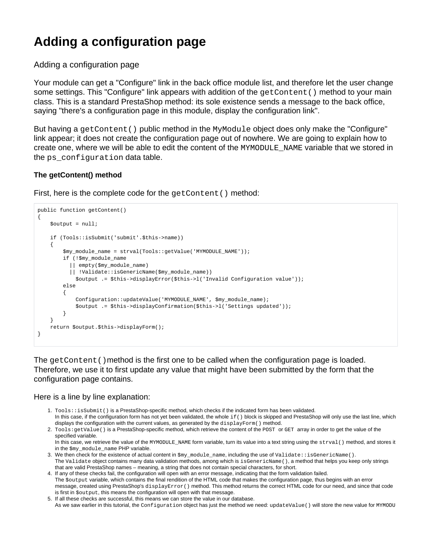# **Adding a configuration page**

Adding a configuration page

Your module can get a "Configure" link in the back office module list, and therefore let the user change some settings. This "Configure" link appears with addition of the  $getContent()$  method to your main class. This is a standard PrestaShop method: its sole existence sends a message to the back office, saying "there's a configuration page in this module, display the configuration link".

But having a getContent() public method in the MyModule object does only make the "Configure" link appear; it does not create the configuration page out of nowhere. We are going to explain how to create one, where we will be able to edit the content of the MYMODULE\_NAME variable that we stored in the ps\_configuration data table.

## **The getContent() method**

First, here is the complete code for the getContent () method:

```
public function getContent()
{
      $output = null; if (Tools::isSubmit('submit'.$this->name))
\left\{ \begin{array}{c} \end{array} \right. $my_module_name = strval(Tools::getValue('MYMODULE_NAME'));
              if (!$my_module_name 
                  || empty($my_module_name) 
                  || !Validate::isGenericName($my_module_name))
                     $output .= $this->displayError($this->l('Invalid Configuration value'));
              else
\left\{ \begin{array}{ccc} 0 & 0 & 0 \\ 0 & 0 & 0 \\ 0 & 0 & 0 \\ 0 & 0 & 0 \\ 0 & 0 & 0 \\ 0 & 0 & 0 \\ 0 & 0 & 0 \\ 0 & 0 & 0 \\ 0 & 0 & 0 \\ 0 & 0 & 0 \\ 0 & 0 & 0 \\ 0 & 0 & 0 \\ 0 & 0 & 0 \\ 0 & 0 & 0 & 0 \\ 0 & 0 & 0 & 0 \\ 0 & 0 & 0 & 0 \\ 0 & 0 & 0 & 0 \\ 0 & 0 & 0 & 0 & 0 \\ 0 & 0 & 0 & 0 & 0 \\ 0 & 0 & 0 & 0 & 0 Configuration::updateValue('MYMODULE_NAME', $my_module_name); 
                     $output .= $this->displayConfirmation($this->l('Settings updated'));
               }
 }
       return $output.$this->displayForm();
}
```
The getContent() method is the first one to be called when the configuration page is loaded. Therefore, we use it to first update any value that might have been submitted by the form that the configuration page contains.

### Here is a line by line explanation:

- 1. Tools::isSubmit() is a PrestaShop-specific method, which checks if the indicated form has been validated. In this case, if the configuration form has not yet been validated, the whole  $if()$  block is skipped and PrestaShop will only use the last line, which displays the configuration with the current values, as generated by the displayForm() method.
- 2. Tools:getValue() is a PrestaShop-specific method, which retrieve the content of the POST or GET array in order to get the value of the specified variable.

In this case, we retrieve the value of the MYMODULE\_NAME form variable, turn its value into a text string using the strval () method, and stores it in the \$my\_module\_name PHP variable.

- 3. We then check for the existence of actual content in \$my\_module\_name, including the use of Validate::isGenericName(). The Validate object contains many data validation methods, among which is isGenericName(), a method that helps you keep only strings that are valid PrestaShop names – meaning, a string that does not contain special characters, for short.
- 4. If any of these checks fail, the configuration will open with an error message, indicating that the form validation failed. The \$output variable, which contains the final rendition of the HTML code that makes the configuration page, thus begins with an error message, created using PrestaShop's displayError() method. This method returns the correct HTML code for our need, and since that code is first in \$output, this means the configuration will open with that message.
- 5. If all these checks are successful, this means we can store the value in our database. As we saw earlier in this tutorial, the Configuration object has just the method we need: updateValue() will store the new value for MYMODU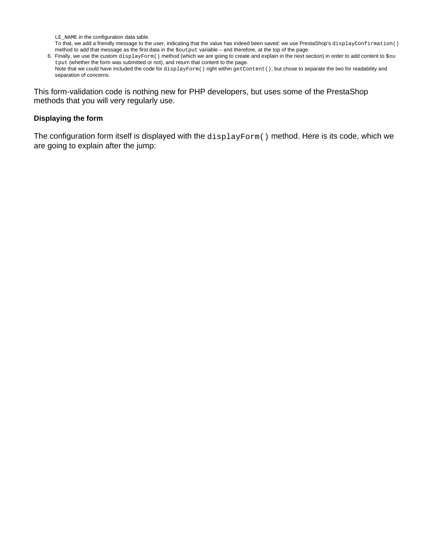LE\_NAME in the configuration data table.

To that, we add a friendly message to the user, indicating that the value has indeed been saved: we use PrestaShop's displayConfirmation() method to add that message as the first data in the \$output variable – and therefore, at the top of the page.

6. Finally, we use the custom displayForm() method (which we are going to create and explain in the next section) in order to add content to \$ou tput (whether the form was submitted or not), and return that content to the page. Note that we could have included the code for displayForm() right within getContent(), but chose to separate the two for readability and separation of concerns.

This form-validation code is nothing new for PHP developers, but uses some of the PrestaShop methods that you will very regularly use.

#### **Displaying the form**

The configuration form itself is displayed with the displayForm() method. Here is its code, which we are going to explain after the jump: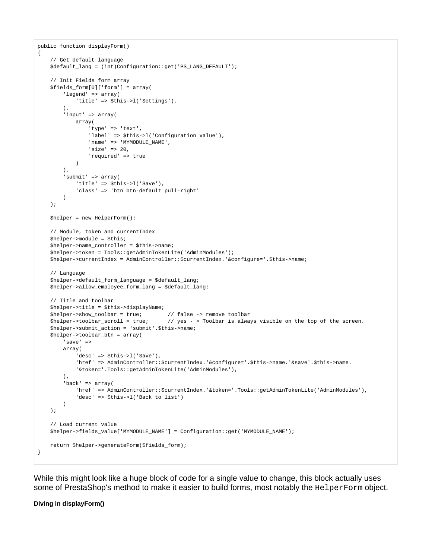```
public function displayForm()
{
     // Get default language
     $default_lang = (int)Configuration::get('PS_LANG_DEFAULT');
     // Init Fields form array
     $fields_form[0]['form'] = array(
         'legend' => array(
             'title' => $this->l('Settings'),
        \lambda.
         'input' => array(
             array(
                  'type' => 'text',
                 'label' => $this->l('Configuration value'),
                'name' => 'MYMODULE NAME',
                  'size' => 20,
                 'required' => true
\overline{\phantom{a}} ),
         'submit' => array(
            'title' => $this->l('Save'),
             'class' => 'btn btn-default pull-right'
        \lambda );
     $helper = new HelperForm();
     // Module, token and currentIndex
     $helper->module = $this;
     $helper->name_controller = $this->name;
     $helper->token = Tools::getAdminTokenLite('AdminModules');
     $helper->currentIndex = AdminController::$currentIndex.'&configure='.$this->name;
     // Language
     $helper->default_form_language = $default_lang;
     $helper->allow_employee_form_lang = $default_lang;
     // Title and toolbar
     $helper->title = $this->displayName;
     $helper->show_toolbar = true; // false -> remove toolbar
     $helper->toolbar_scroll = true; // yes - > Toolbar is always visible on the top of the screen.
     $helper->submit_action = 'submit'.$this->name;
     $helper->toolbar_btn = array(
         'save' =>
         array(
             'desc' => $this->l('Save'),
             'href' => AdminController::$currentIndex.'&configure='.$this->name.'&save'.$this->name.
             '&token='.Tools::getAdminTokenLite('AdminModules'),
        \lambda.
         'back' => array(
             'href' => AdminController::$currentIndex.'&token='.Tools::getAdminTokenLite('AdminModules'),
             'desc' => $this->l('Back to list')
         )
     );
     // Load current value
     $helper->fields_value['MYMODULE_NAME'] = Configuration::get('MYMODULE_NAME');
     return $helper->generateForm($fields_form);
}
```
While this might look like a huge block of code for a single value to change, this block actually uses some of PrestaShop's method to make it easier to build forms, most notably the HelperForm object.

**Diving in displayForm()**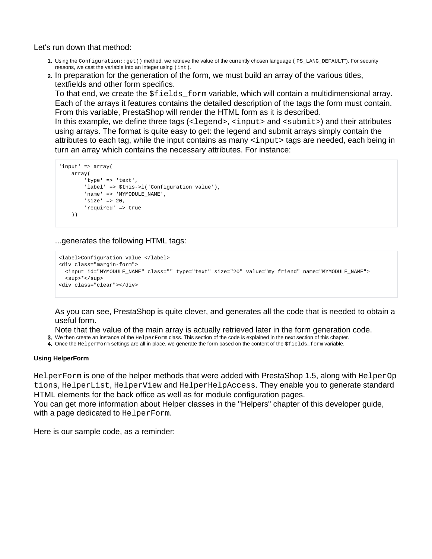Let's run down that method:

- 1. Using the Configuration::get() method, we retrieve the value of the currently chosen language ("PS\_LANG\_DEFAULT"). For security reasons, we cast the variable into an integer using (int).
- 2. In preparation for the generation of the form, we must build an array of the various titles, textfields and other form specifics.

To that end, we create the  $$fields$  form variable, which will contain a multidimensional array. Each of the arrays it features contains the detailed description of the tags the form must contain. From this variable, PrestaShop will render the HTML form as it is described.

In this example, we define three tags  $($  -  $\leq$   $\leq$   $\leq$   $\leq$   $\leq$   $\leq$   $\leq$   $\leq$   $\leq$   $\leq$   $\leq$   $\leq$   $\leq$   $\leq$   $\leq$   $\leq$   $\leq$   $\leq$   $\leq$   $\leq$   $\leq$   $\leq$   $\leq$   $\leq$   $\leq$   $\leq$   $\leq$   $\leq$   $\leq$   $\le$ using arrays. The format is quite easy to get: the legend and submit arrays simply contain the attributes to each tag, while the input contains as many <input> tags are needed, each being in turn an array which contains the necessary attributes. For instance:

```
'input' => array(
    array(
         'type' => 'text',
         'label' => $this->l('Configuration value'),
         'name' => 'MYMODULE_NAME',
         'size' => 20,
         'required' => true
    ))
```
...generates the following HTML tags:

```
<label>Configuration value </label>
<div class="margin-form">
  <input id="MYMODULE_NAME" class="" type="text" size="20" value="my friend" name="MYMODULE_NAME">
  <sup>*</sup>
<div class="clear"></div>
```
As you can see, PrestaShop is quite clever, and generates all the code that is needed to obtain a useful form.

Note that the value of the main array is actually retrieved later in the form generation code.

- 3. We then create an instance of the  $H$ elperForm class. This section of the code is explained in the next section of this chapter.
- 4. Once the HelperForm settings are all in place, we generate the form based on the content of the \$fields\_form variable.

#### **Using HelperForm**

HelperForm is one of the helper methods that were added with PrestaShop 1.5, along with HelperOp tions, HelperList, HelperView and HelperHelpAccess. They enable you to generate standard HTML elements for the back office as well as for module configuration pages.

You can get more information about Helper classes in the "Helpers" chapter of this developer guide, with a page dedicated to HelperForm.

Here is our sample code, as a reminder: